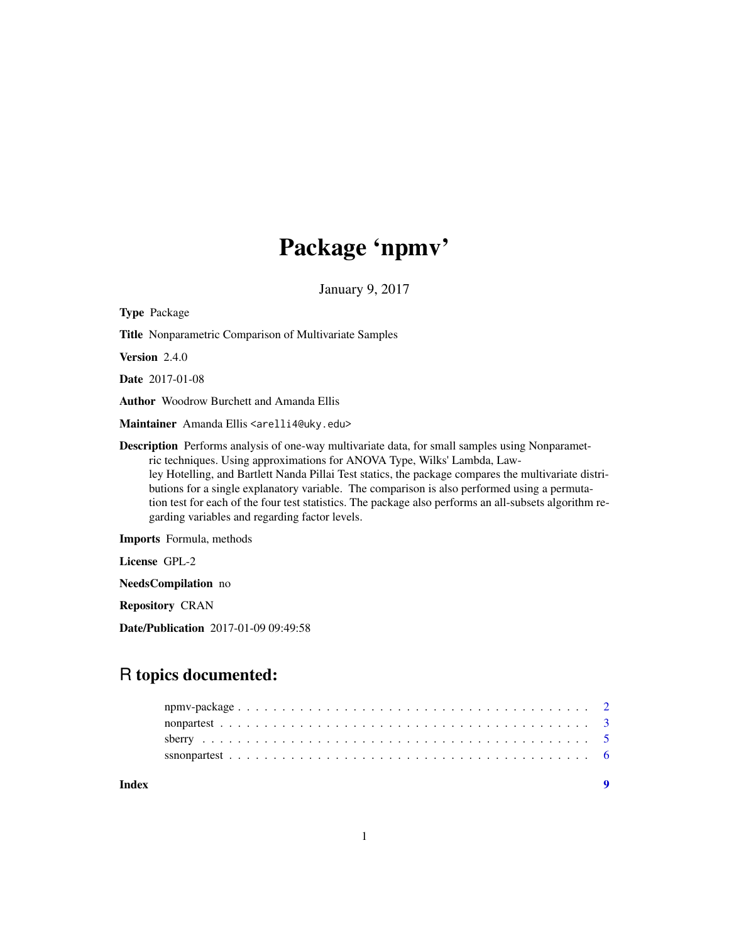# Package 'npmv'

January 9, 2017

Type Package Title Nonparametric Comparison of Multivariate Samples Version 2.4.0 Date 2017-01-08 Author Woodrow Burchett and Amanda Ellis Maintainer Amanda Ellis <arelli4@uky.edu> Description Performs analysis of one-way multivariate data, for small samples using Nonparametric techniques. Using approximations for ANOVA Type, Wilks' Lambda, Lawley Hotelling, and Bartlett Nanda Pillai Test statics, the package compares the multivariate distributions for a single explanatory variable. The comparison is also performed using a permutation test for each of the four test statistics. The package also performs an all-subsets algorithm regarding variables and regarding factor levels. Imports Formula, methods License GPL-2

NeedsCompilation no

Repository CRAN

Date/Publication 2017-01-09 09:49:58

# R topics documented:

| Index |  |
|-------|--|
|       |  |
|       |  |
|       |  |
|       |  |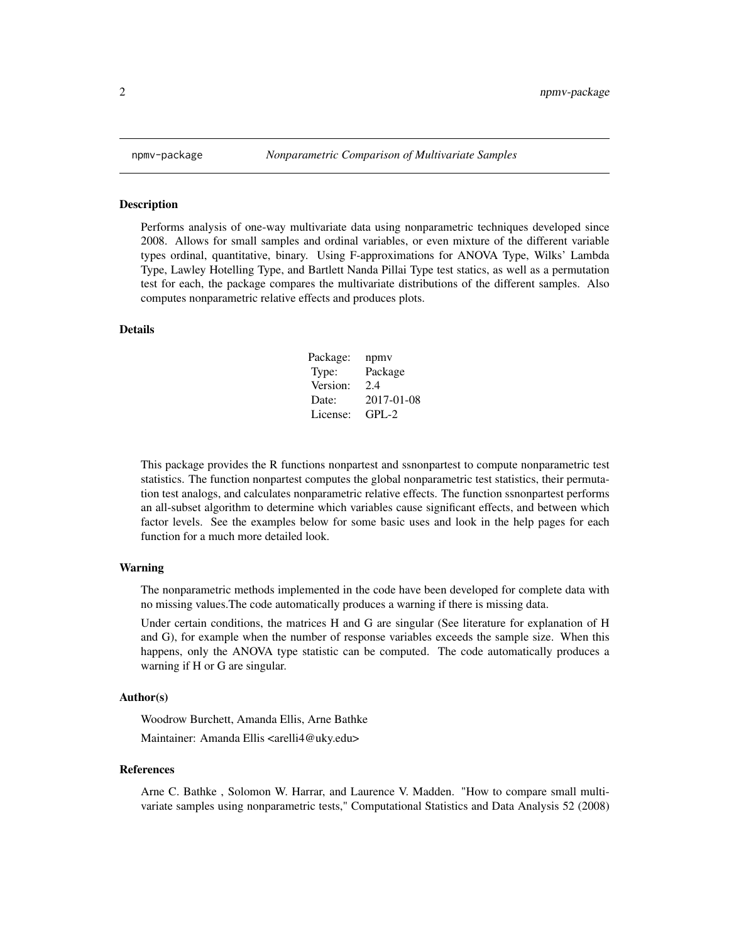<span id="page-1-0"></span>

# Description

Performs analysis of one-way multivariate data using nonparametric techniques developed since 2008. Allows for small samples and ordinal variables, or even mixture of the different variable types ordinal, quantitative, binary. Using F-approximations for ANOVA Type, Wilks' Lambda Type, Lawley Hotelling Type, and Bartlett Nanda Pillai Type test statics, as well as a permutation test for each, the package compares the multivariate distributions of the different samples. Also computes nonparametric relative effects and produces plots.

# Details

| Package: | npmy       |
|----------|------------|
| Type:    | Package    |
| Version: | 2.4        |
| Date:    | 2017-01-08 |
| License: | $GPI - 2$  |

This package provides the R functions nonpartest and ssnonpartest to compute nonparametric test statistics. The function nonpartest computes the global nonparametric test statistics, their permutation test analogs, and calculates nonparametric relative effects. The function ssnonpartest performs an all-subset algorithm to determine which variables cause significant effects, and between which factor levels. See the examples below for some basic uses and look in the help pages for each function for a much more detailed look.

# Warning

The nonparametric methods implemented in the code have been developed for complete data with no missing values.The code automatically produces a warning if there is missing data.

Under certain conditions, the matrices H and G are singular (See literature for explanation of H and G), for example when the number of response variables exceeds the sample size. When this happens, only the ANOVA type statistic can be computed. The code automatically produces a warning if H or G are singular.

# Author(s)

Woodrow Burchett, Amanda Ellis, Arne Bathke

Maintainer: Amanda Ellis <arelli4@uky.edu>

#### References

Arne C. Bathke , Solomon W. Harrar, and Laurence V. Madden. "How to compare small multivariate samples using nonparametric tests," Computational Statistics and Data Analysis 52 (2008)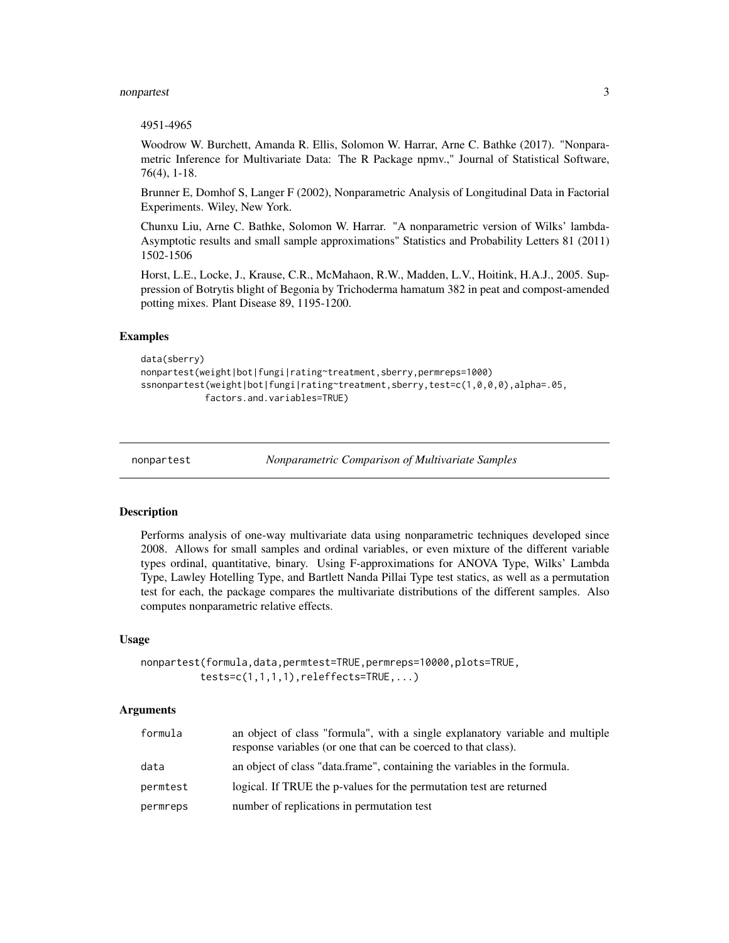# <span id="page-2-0"></span>nonpartest 3

# 4951-4965

Woodrow W. Burchett, Amanda R. Ellis, Solomon W. Harrar, Arne C. Bathke (2017). "Nonparametric Inference for Multivariate Data: The R Package npmv.," Journal of Statistical Software, 76(4), 1-18.

Brunner E, Domhof S, Langer F (2002), Nonparametric Analysis of Longitudinal Data in Factorial Experiments. Wiley, New York.

Chunxu Liu, Arne C. Bathke, Solomon W. Harrar. "A nonparametric version of Wilks' lambda-Asymptotic results and small sample approximations" Statistics and Probability Letters 81 (2011) 1502-1506

Horst, L.E., Locke, J., Krause, C.R., McMahaon, R.W., Madden, L.V., Hoitink, H.A.J., 2005. Suppression of Botrytis blight of Begonia by Trichoderma hamatum 382 in peat and compost-amended potting mixes. Plant Disease 89, 1195-1200.

# Examples

```
data(sberry)
nonpartest(weight|bot|fungi|rating~treatment,sberry,permreps=1000)
ssnonpartest(weight|bot|fungi|rating~treatment,sberry,test=c(1,0,0,0),alpha=.05,
            factors.and.variables=TRUE)
```
nonpartest *Nonparametric Comparison of Multivariate Samples*

# Description

Performs analysis of one-way multivariate data using nonparametric techniques developed since 2008. Allows for small samples and ordinal variables, or even mixture of the different variable types ordinal, quantitative, binary. Using F-approximations for ANOVA Type, Wilks' Lambda Type, Lawley Hotelling Type, and Bartlett Nanda Pillai Type test statics, as well as a permutation test for each, the package compares the multivariate distributions of the different samples. Also computes nonparametric relative effects.

# Usage

```
nonpartest(formula,data,permtest=TRUE,permreps=10000,plots=TRUE,
          tests = c(1,1,1,1), releffects = TRUE, ...)
```
# Arguments

| formula  | an object of class "formula", with a single explanatory variable and multiple<br>response variables (or one that can be coerced to that class). |
|----------|-------------------------------------------------------------------------------------------------------------------------------------------------|
| data     | an object of class "data.frame", containing the variables in the formula.                                                                       |
| permtest | logical. If TRUE the p-values for the permutation test are returned                                                                             |
| permreps | number of replications in permutation test                                                                                                      |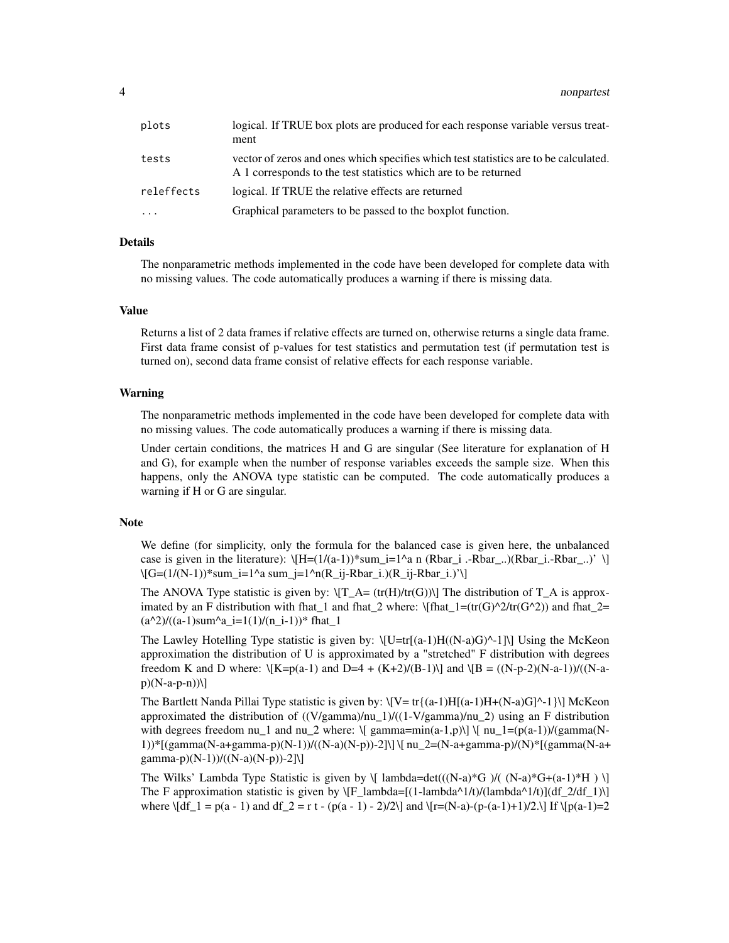| plots      | logical. If TRUE box plots are produced for each response variable versus treat-<br>ment                                                                |
|------------|---------------------------------------------------------------------------------------------------------------------------------------------------------|
| tests      | vector of zeros and ones which specifies which test statistics are to be calculated.<br>A 1 corresponds to the test statistics which are to be returned |
| releffects | logical. If TRUE the relative effects are returned                                                                                                      |
| $\ddotsc$  | Graphical parameters to be passed to the boxplot function.                                                                                              |

# Details

The nonparametric methods implemented in the code have been developed for complete data with no missing values. The code automatically produces a warning if there is missing data.

# Value

Returns a list of 2 data frames if relative effects are turned on, otherwise returns a single data frame. First data frame consist of p-values for test statistics and permutation test (if permutation test is turned on), second data frame consist of relative effects for each response variable.

# Warning

The nonparametric methods implemented in the code have been developed for complete data with no missing values. The code automatically produces a warning if there is missing data.

Under certain conditions, the matrices H and G are singular (See literature for explanation of H and G), for example when the number of response variables exceeds the sample size. When this happens, only the ANOVA type statistic can be computed. The code automatically produces a warning if H or G are singular.

# **Note**

We define (for simplicity, only the formula for the balanced case is given here, the unbalanced case is given in the literature):  $\[H=(1/(a-1))^* \text{sum}_i=1 \text{ and } (\text{Rbar}_i \cdot \text{Rbar}_i \cdot \text{).}) (\text{Rbar}_i \cdot \text{Rbar}_i \cdot \text{.)'} \]$ \[G=(1/(N-1))\*sum\_i=1^a sum\_j=1^n(R\_ij-Rbar\_i.)(R\_ij-Rbar\_i.)'\]

The ANOVA Type statistic is given by:  $\langle T_A = (tr(H)/tr(G)) \rangle$  The distribution of  $T_A$  is approximated by an F distribution with fhat\_1 and fhat\_2 where:  $\left(\frac{\frac{1}{\frac{1}{\frac{C_r}{G^2}}}{\frac{C_r}{G^2}}\right)$  and fhat\_2=  $(a^2)/(a-1)$ sum<sup>2</sup>a\_i=1(1)/(n\_i-1))\* fhat\_1

The Lawley Hotelling Type statistic is given by:  $\left\{U=tr[(a-1)H((N-a)G)^{-1}]\right\}$  Using the McKeon approximation the distribution of U is approximated by a "stretched" F distribution with degrees freedom K and D where:  $\{K=p(a-1) \text{ and } D=4 + (K+2)/(B-1)\}$  and  $\{B = ((N-p-2)(N-a-1))/(N-a-1)\}$  $p)(N-a-p-n))$ 

The Bartlett Nanda Pillai Type statistic is given by:  $\[ \Psi \cdot \Pi_{\{a-1\}} H_{\{a-1\}} + \[ \Lambda - a) G \]^{\Lambda} \]$  McKeon approximated the distribution of  $((V/gamma)/nu_1)/(1-V/gamma)/nu_2)$  using an F distribution with degrees freedom nu\_1 and nu\_2 where:  $\{ \gamma \$  gamma=min(a-1,p)\]  $\{ \gamma \}$  [nu\_1=(p(a-1))/(gamma(N-1))\*[(gamma(N-a+gamma-p)(N-1))/((N-a)(N-p))-2]\] \[ nu\_2=(N-a+gamma-p)/(N)\*[(gamma(N-a+ gamma-p)(N-1))/((N-a)(N-p))-2]\]

The Wilks' Lambda Type Statistic is given by  $\{ \lambda \in \mathbb{C}((N-a)*G \mid N-a)*G+(a-1)*H \} \}$ The F approximation statistic is given by  $\[F_\lambda\lambda_1(t) - \lambda_1(t)]$  (lambda<sup>^1</sup>/t)/(lambda<sup>^1</sup>/t)](df\_2/df\_1)\] where  $\left[\frac{df_1 = p(a-1) \text{ and } df_2 = r t - (p(a-1) - 2)/2\right]$  and  $\left[\frac{r=(N-a)-(p-(a-1)+1)}{2\right]$  If  $\left[\frac{p(a-1)}{2}\right]$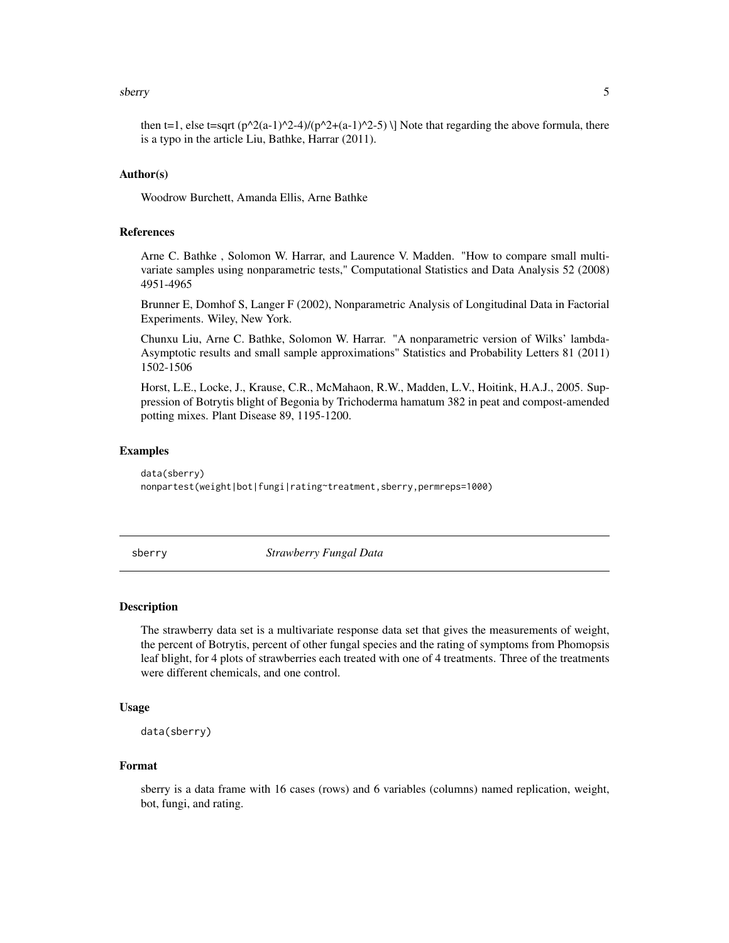# <span id="page-4-0"></span>sberry 50 to 1999 and 2009 and 2009 and 2009 and 2009 and 2009 and 2009 and 2009 and 2009 and 2009 and 2009 and 2009 and 2009 and 2009 and 2009 and 2009 and 2009 and 2009 and 2009 and 2009 and 2009 and 2009 and 2009 and 20

then t=1, else t=sqrt (p^2(a-1)^2-4)/(p^2+(a-1)^2-5) \] Note that regarding the above formula, there is a typo in the article Liu, Bathke, Harrar (2011).

# Author(s)

Woodrow Burchett, Amanda Ellis, Arne Bathke

# References

Arne C. Bathke , Solomon W. Harrar, and Laurence V. Madden. "How to compare small multivariate samples using nonparametric tests," Computational Statistics and Data Analysis 52 (2008) 4951-4965

Brunner E, Domhof S, Langer F (2002), Nonparametric Analysis of Longitudinal Data in Factorial Experiments. Wiley, New York.

Chunxu Liu, Arne C. Bathke, Solomon W. Harrar. "A nonparametric version of Wilks' lambda-Asymptotic results and small sample approximations" Statistics and Probability Letters 81 (2011) 1502-1506

Horst, L.E., Locke, J., Krause, C.R., McMahaon, R.W., Madden, L.V., Hoitink, H.A.J., 2005. Suppression of Botrytis blight of Begonia by Trichoderma hamatum 382 in peat and compost-amended potting mixes. Plant Disease 89, 1195-1200.

# Examples

data(sberry) nonpartest(weight|bot|fungi|rating~treatment,sberry,permreps=1000)

sberry *Strawberry Fungal Data*

# Description

The strawberry data set is a multivariate response data set that gives the measurements of weight, the percent of Botrytis, percent of other fungal species and the rating of symptoms from Phomopsis leaf blight, for 4 plots of strawberries each treated with one of 4 treatments. Three of the treatments were different chemicals, and one control.

# Usage

```
data(sberry)
```
# Format

sberry is a data frame with 16 cases (rows) and 6 variables (columns) named replication, weight, bot, fungi, and rating.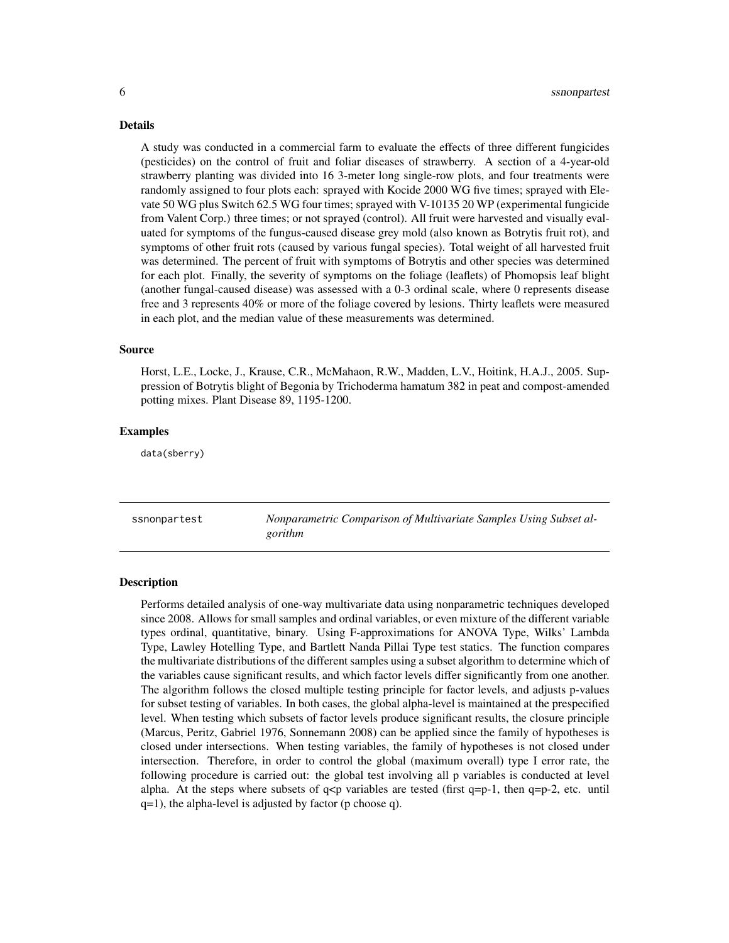Details

A study was conducted in a commercial farm to evaluate the effects of three different fungicides (pesticides) on the control of fruit and foliar diseases of strawberry. A section of a 4-year-old strawberry planting was divided into 16 3-meter long single-row plots, and four treatments were randomly assigned to four plots each: sprayed with Kocide 2000 WG five times; sprayed with Elevate 50 WG plus Switch 62.5 WG four times; sprayed with V-10135 20 WP (experimental fungicide from Valent Corp.) three times; or not sprayed (control). All fruit were harvested and visually evaluated for symptoms of the fungus-caused disease grey mold (also known as Botrytis fruit rot), and symptoms of other fruit rots (caused by various fungal species). Total weight of all harvested fruit was determined. The percent of fruit with symptoms of Botrytis and other species was determined for each plot. Finally, the severity of symptoms on the foliage (leaflets) of Phomopsis leaf blight (another fungal-caused disease) was assessed with a 0-3 ordinal scale, where 0 represents disease free and 3 represents 40% or more of the foliage covered by lesions. Thirty leaflets were measured in each plot, and the median value of these measurements was determined.

# Source

Horst, L.E., Locke, J., Krause, C.R., McMahaon, R.W., Madden, L.V., Hoitink, H.A.J., 2005. Suppression of Botrytis blight of Begonia by Trichoderma hamatum 382 in peat and compost-amended potting mixes. Plant Disease 89, 1195-1200.

# Examples

data(sberry)

ssnonpartest *Nonparametric Comparison of Multivariate Samples Using Subset algorithm*

### Description

Performs detailed analysis of one-way multivariate data using nonparametric techniques developed since 2008. Allows for small samples and ordinal variables, or even mixture of the different variable types ordinal, quantitative, binary. Using F-approximations for ANOVA Type, Wilks' Lambda Type, Lawley Hotelling Type, and Bartlett Nanda Pillai Type test statics. The function compares the multivariate distributions of the different samples using a subset algorithm to determine which of the variables cause significant results, and which factor levels differ significantly from one another. The algorithm follows the closed multiple testing principle for factor levels, and adjusts p-values for subset testing of variables. In both cases, the global alpha-level is maintained at the prespecified level. When testing which subsets of factor levels produce significant results, the closure principle (Marcus, Peritz, Gabriel 1976, Sonnemann 2008) can be applied since the family of hypotheses is closed under intersections. When testing variables, the family of hypotheses is not closed under intersection. Therefore, in order to control the global (maximum overall) type I error rate, the following procedure is carried out: the global test involving all p variables is conducted at level alpha. At the steps where subsets of  $q < p$  variables are tested (first  $q = p-1$ , then  $q = p-2$ , etc. until q=1), the alpha-level is adjusted by factor (p choose q).

<span id="page-5-0"></span>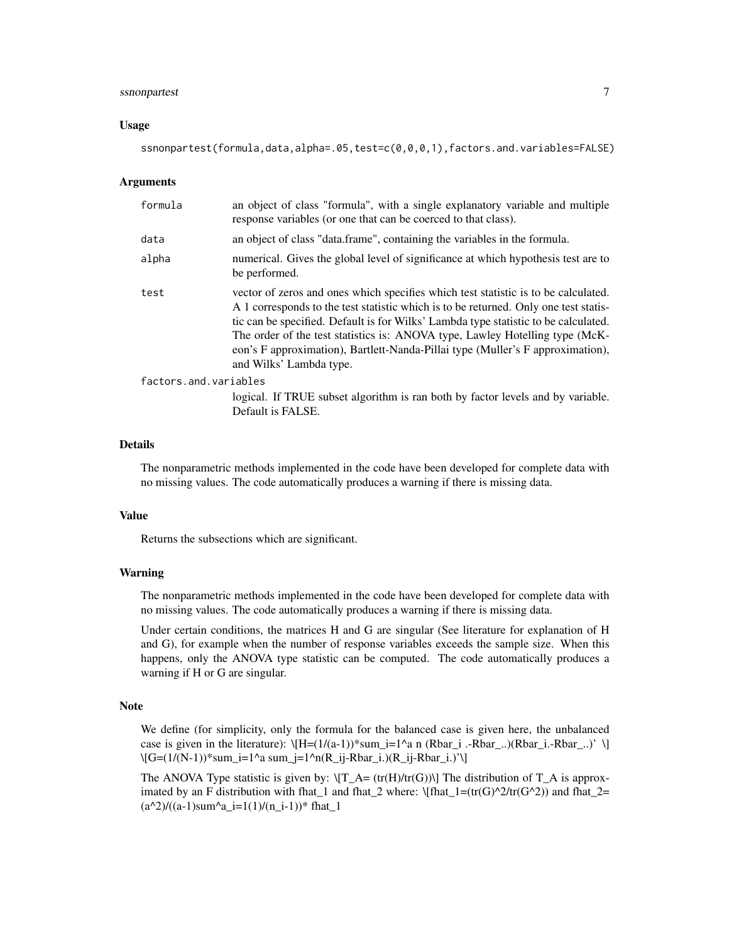# ssnonpartest 7

# Usage

ssnonpartest(formula,data,alpha=.05,test=c(0,0,0,1),factors.and.variables=FALSE)

# Arguments

| formula               | an object of class "formula", with a single explanatory variable and multiple<br>response variables (or one that can be coerced to that class).                                                                                                                                                                                                                                                                                                                |  |  |
|-----------------------|----------------------------------------------------------------------------------------------------------------------------------------------------------------------------------------------------------------------------------------------------------------------------------------------------------------------------------------------------------------------------------------------------------------------------------------------------------------|--|--|
| data                  | an object of class "data.frame", containing the variables in the formula.                                                                                                                                                                                                                                                                                                                                                                                      |  |  |
| alpha                 | numerical. Gives the global level of significance at which hypothesis test are to<br>be performed.                                                                                                                                                                                                                                                                                                                                                             |  |  |
| test                  | vector of zeros and ones which specifies which test statistic is to be calculated.<br>A 1 corresponds to the test statistic which is to be returned. Only one test statis-<br>tic can be specified. Default is for Wilks' Lambda type statistic to be calculated.<br>The order of the test statistics is: ANOVA type, Lawley Hotelling type (McK-<br>eon's F approximation), Bartlett-Nanda-Pillai type (Muller's F approximation),<br>and Wilks' Lambda type. |  |  |
| factors.and.variables |                                                                                                                                                                                                                                                                                                                                                                                                                                                                |  |  |
|                       | logical. If TRUE subset algorithm is ran both by factor levels and by variable.<br>Default is FALSE.                                                                                                                                                                                                                                                                                                                                                           |  |  |

# Details

The nonparametric methods implemented in the code have been developed for complete data with no missing values. The code automatically produces a warning if there is missing data.

# Value

Returns the subsections which are significant.

# Warning

The nonparametric methods implemented in the code have been developed for complete data with no missing values. The code automatically produces a warning if there is missing data.

Under certain conditions, the matrices H and G are singular (See literature for explanation of H and G), for example when the number of response variables exceeds the sample size. When this happens, only the ANOVA type statistic can be computed. The code automatically produces a warning if H or G are singular.

# Note

We define (for simplicity, only the formula for the balanced case is given here, the unbalanced case is given in the literature):  $\left[\frac{H=(1/(a-1))}{{\rm sum}_i}=1^a$  n (Rbar\_i .-Rbar\_..)(Rbar\_i.-Rbar\_..)' \] \[G=(1/(N-1))\*sum\_i=1^a sum\_j=1^n(R\_ij-Rbar\_i.)(R\_ij-Rbar\_i.)'\]

The ANOVA Type statistic is given by:  $\T_{A} = (tr(H)/tr(G))$  The distribution of  $T_A$  is approximated by an F distribution with fhat\_1 and fhat\_2 where:  $\left(\frac{fhat_1}{2}ttr(G^2)/tr(G^2)\right)$  and fhat\_2=  $(a^2)/(a-1)$ sum<sup>2</sup>a\_i=1(1)/(n\_i-1))\* fhat\_1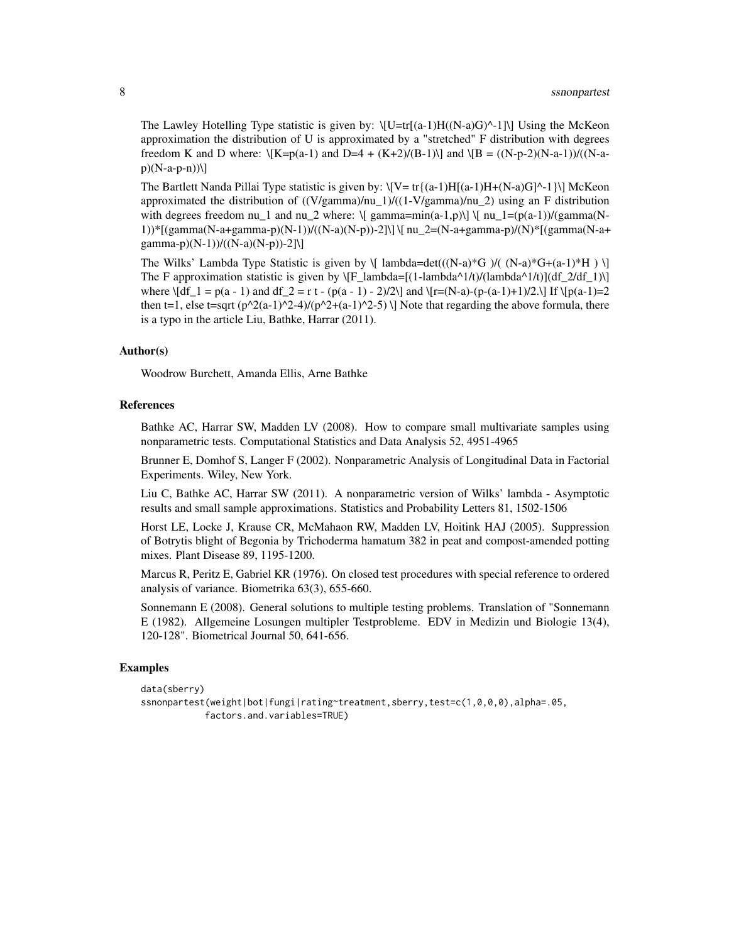The Lawley Hotelling Type statistic is given by:  $\left\langle \left[U=tr\right][(a-1)H((N-a)G)^{2}] \right\rangle$  Using the McKeon approximation the distribution of U is approximated by a "stretched" F distribution with degrees freedom K and D where:  $\{K=p(a-1) \text{ and } D=4 + (K+2)/(B-1)\}$  and  $\{B = ((N-p-2)(N-a-1))/(N-a-1)\}$  $p)(N-a-p-n)$ 

The Bartlett Nanda Pillai Type statistic is given by:  $\[ \nabla = \text{tr}\{a-1\}H[(a-1)H+(N-a)G]^{\wedge} -1 \} \]$  McKeon approximated the distribution of  $((V/gamma)/nu_1)/(1-V/gamma)/nu_2)$  using an F distribution with degrees freedom nu\_1 and nu\_2 where:  $\[\$  gamma=min(a-1,p)\]  $\[\$ nu\_1=(p(a-1))/(gamma(N-1))\*[(gamma(N-a+gamma-p)(N-1))/((N-a)(N-p))-2]\] \[ nu\_2=(N-a+gamma-p)/(N)\*[(gamma(N-a+ gamma-p)(N-1))/((N-a)(N-p))-2]\]

The Wilks' Lambda Type Statistic is given by  $\[\{\text{lambda}=det(((N-a)*G)/(N-a)*G+(a-1)*H)\]\}]$ The F approximation statistic is given by  $\[F_\text{lambda} = [(1-\lambda^2/t)/(1-\lambda^2)/(\lambda^2/t)]$ where  $\left| \frac{df_1}{d} \right| = p(a - 1)$  and  $df_2 = r t - (p(a - 1) - 2)/2\$  and  $\left| \frac{r}{(n-a)-(p-(a-1)+1)/2}\right|$  If  $\left| \frac{p(a-1)-2}{(a-1)+(p-a-1)}\right|$ then t=1, else t=sqrt (p^2(a-1)^2-4)/(p^2+(a-1)^2-5) \] Note that regarding the above formula, there is a typo in the article Liu, Bathke, Harrar (2011).

# Author(s)

Woodrow Burchett, Amanda Ellis, Arne Bathke

# References

Bathke AC, Harrar SW, Madden LV (2008). How to compare small multivariate samples using nonparametric tests. Computational Statistics and Data Analysis 52, 4951-4965

Brunner E, Domhof S, Langer F (2002). Nonparametric Analysis of Longitudinal Data in Factorial Experiments. Wiley, New York.

Liu C, Bathke AC, Harrar SW (2011). A nonparametric version of Wilks' lambda - Asymptotic results and small sample approximations. Statistics and Probability Letters 81, 1502-1506

Horst LE, Locke J, Krause CR, McMahaon RW, Madden LV, Hoitink HAJ (2005). Suppression of Botrytis blight of Begonia by Trichoderma hamatum 382 in peat and compost-amended potting mixes. Plant Disease 89, 1195-1200.

Marcus R, Peritz E, Gabriel KR (1976). On closed test procedures with special reference to ordered analysis of variance. Biometrika 63(3), 655-660.

Sonnemann E (2008). General solutions to multiple testing problems. Translation of "Sonnemann E (1982). Allgemeine Losungen multipler Testprobleme. EDV in Medizin und Biologie 13(4), 120-128". Biometrical Journal 50, 641-656.

# Examples

```
data(sberry)
ssnonpartest(weight|bot|fungi|rating~treatment,sberry,test=c(1,0,0,0),alpha=.05,
           factors.and.variables=TRUE)
```